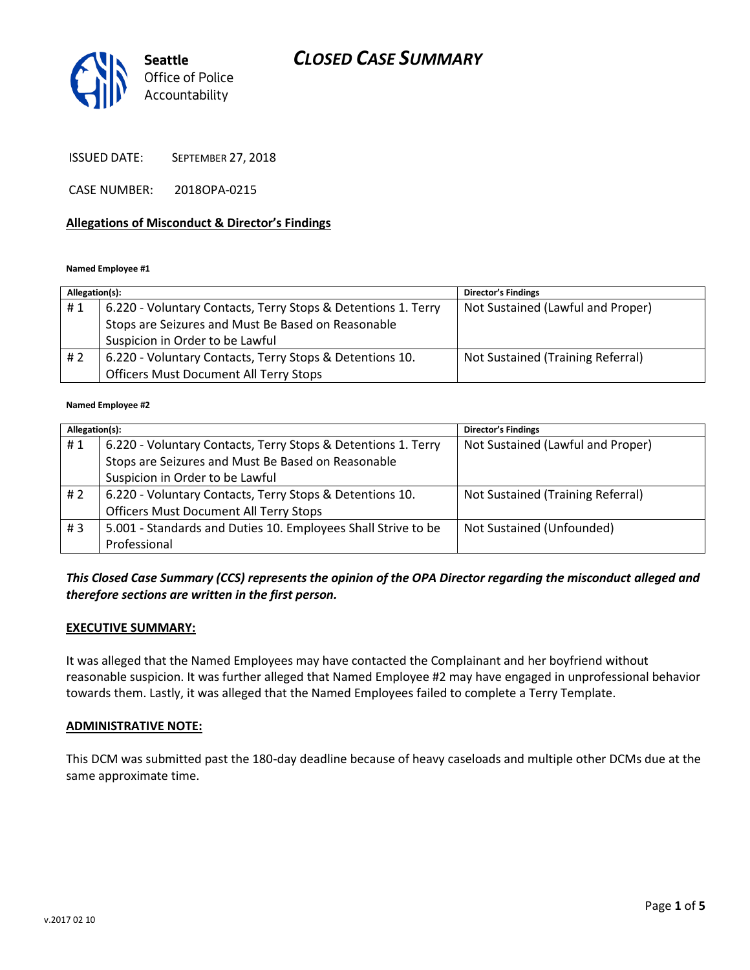# *CLOSED CASE SUMMARY*



ISSUED DATE: SEPTEMBER 27, 2018

CASE NUMBER: 2018OPA-0215

#### **Allegations of Misconduct & Director's Findings**

#### **Named Employee #1**

| Allegation(s): |                                                               | <b>Director's Findings</b>        |
|----------------|---------------------------------------------------------------|-----------------------------------|
| #1             | 6.220 - Voluntary Contacts, Terry Stops & Detentions 1. Terry | Not Sustained (Lawful and Proper) |
|                | Stops are Seizures and Must Be Based on Reasonable            |                                   |
|                | Suspicion in Order to be Lawful                               |                                   |
| # 2            | 6.220 - Voluntary Contacts, Terry Stops & Detentions 10.      | Not Sustained (Training Referral) |
|                | <b>Officers Must Document All Terry Stops</b>                 |                                   |

#### **Named Employee #2**

| Allegation(s): |                                                               | <b>Director's Findings</b>        |
|----------------|---------------------------------------------------------------|-----------------------------------|
| #1             | 6.220 - Voluntary Contacts, Terry Stops & Detentions 1. Terry | Not Sustained (Lawful and Proper) |
|                | Stops are Seizures and Must Be Based on Reasonable            |                                   |
|                | Suspicion in Order to be Lawful                               |                                   |
| # 2            | 6.220 - Voluntary Contacts, Terry Stops & Detentions 10.      | Not Sustained (Training Referral) |
|                | <b>Officers Must Document All Terry Stops</b>                 |                                   |
| #3             | 5.001 - Standards and Duties 10. Employees Shall Strive to be | Not Sustained (Unfounded)         |
|                | Professional                                                  |                                   |

## *This Closed Case Summary (CCS) represents the opinion of the OPA Director regarding the misconduct alleged and therefore sections are written in the first person.*

#### **EXECUTIVE SUMMARY:**

It was alleged that the Named Employees may have contacted the Complainant and her boyfriend without reasonable suspicion. It was further alleged that Named Employee #2 may have engaged in unprofessional behavior towards them. Lastly, it was alleged that the Named Employees failed to complete a Terry Template.

#### **ADMINISTRATIVE NOTE:**

This DCM was submitted past the 180-day deadline because of heavy caseloads and multiple other DCMs due at the same approximate time.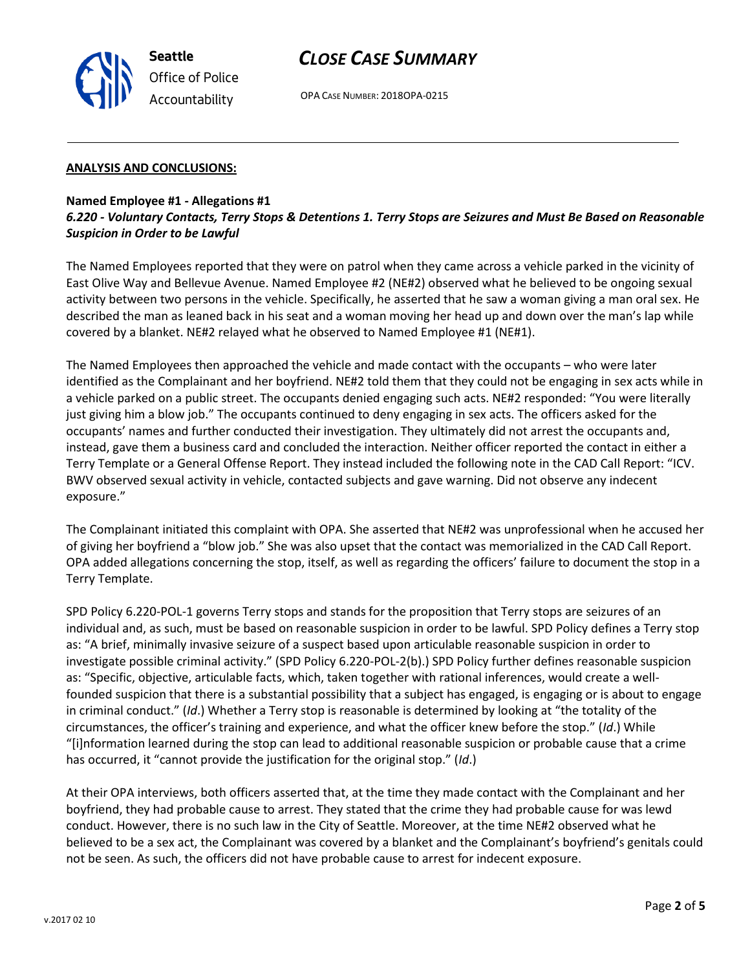

# *CLOSE CASE SUMMARY*

OPA CASE NUMBER: 2018OPA-0215

#### **ANALYSIS AND CONCLUSIONS:**

### **Named Employee #1 - Allegations #1** *6.220 - Voluntary Contacts, Terry Stops & Detentions 1. Terry Stops are Seizures and Must Be Based on Reasonable Suspicion in Order to be Lawful*

The Named Employees reported that they were on patrol when they came across a vehicle parked in the vicinity of East Olive Way and Bellevue Avenue. Named Employee #2 (NE#2) observed what he believed to be ongoing sexual activity between two persons in the vehicle. Specifically, he asserted that he saw a woman giving a man oral sex. He described the man as leaned back in his seat and a woman moving her head up and down over the man's lap while covered by a blanket. NE#2 relayed what he observed to Named Employee #1 (NE#1).

The Named Employees then approached the vehicle and made contact with the occupants – who were later identified as the Complainant and her boyfriend. NE#2 told them that they could not be engaging in sex acts while in a vehicle parked on a public street. The occupants denied engaging such acts. NE#2 responded: "You were literally just giving him a blow job." The occupants continued to deny engaging in sex acts. The officers asked for the occupants' names and further conducted their investigation. They ultimately did not arrest the occupants and, instead, gave them a business card and concluded the interaction. Neither officer reported the contact in either a Terry Template or a General Offense Report. They instead included the following note in the CAD Call Report: "ICV. BWV observed sexual activity in vehicle, contacted subjects and gave warning. Did not observe any indecent exposure."

The Complainant initiated this complaint with OPA. She asserted that NE#2 was unprofessional when he accused her of giving her boyfriend a "blow job." She was also upset that the contact was memorialized in the CAD Call Report. OPA added allegations concerning the stop, itself, as well as regarding the officers' failure to document the stop in a Terry Template.

SPD Policy 6.220-POL-1 governs Terry stops and stands for the proposition that Terry stops are seizures of an individual and, as such, must be based on reasonable suspicion in order to be lawful. SPD Policy defines a Terry stop as: "A brief, minimally invasive seizure of a suspect based upon articulable reasonable suspicion in order to investigate possible criminal activity." (SPD Policy 6.220-POL-2(b).) SPD Policy further defines reasonable suspicion as: "Specific, objective, articulable facts, which, taken together with rational inferences, would create a wellfounded suspicion that there is a substantial possibility that a subject has engaged, is engaging or is about to engage in criminal conduct." (*Id*.) Whether a Terry stop is reasonable is determined by looking at "the totality of the circumstances, the officer's training and experience, and what the officer knew before the stop." (*Id*.) While "[i]nformation learned during the stop can lead to additional reasonable suspicion or probable cause that a crime has occurred, it "cannot provide the justification for the original stop." (*Id*.)

At their OPA interviews, both officers asserted that, at the time they made contact with the Complainant and her boyfriend, they had probable cause to arrest. They stated that the crime they had probable cause for was lewd conduct. However, there is no such law in the City of Seattle. Moreover, at the time NE#2 observed what he believed to be a sex act, the Complainant was covered by a blanket and the Complainant's boyfriend's genitals could not be seen. As such, the officers did not have probable cause to arrest for indecent exposure.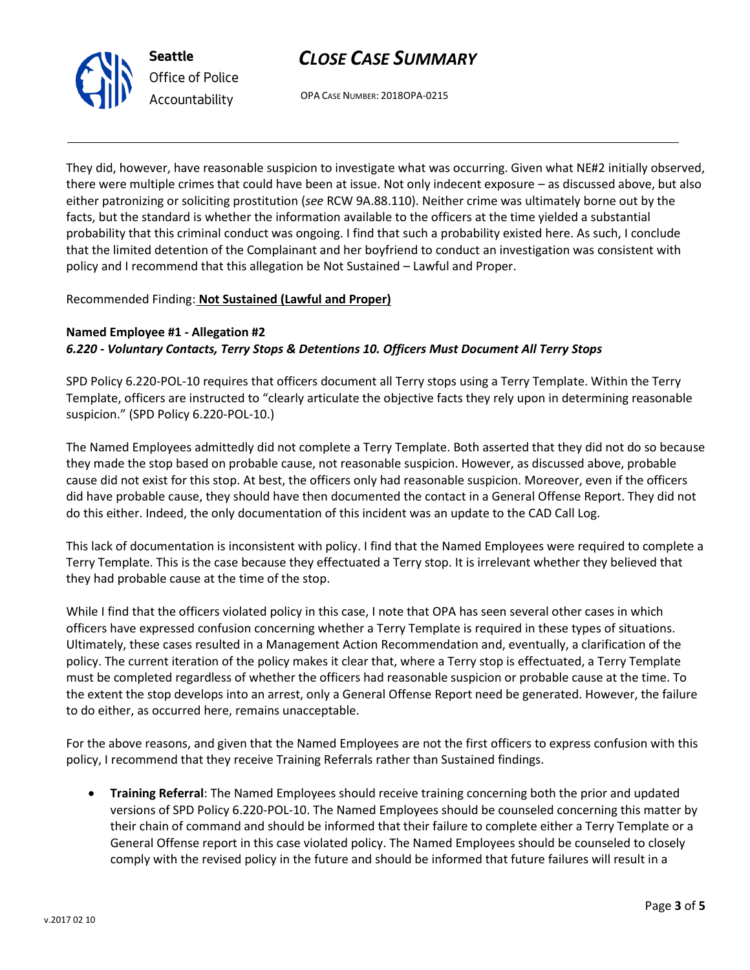



OPA CASE NUMBER: 2018OPA-0215

They did, however, have reasonable suspicion to investigate what was occurring. Given what NE#2 initially observed, there were multiple crimes that could have been at issue. Not only indecent exposure – as discussed above, but also either patronizing or soliciting prostitution (*see* RCW 9A.88.110). Neither crime was ultimately borne out by the facts, but the standard is whether the information available to the officers at the time yielded a substantial probability that this criminal conduct was ongoing. I find that such a probability existed here. As such, I conclude that the limited detention of the Complainant and her boyfriend to conduct an investigation was consistent with policy and I recommend that this allegation be Not Sustained – Lawful and Proper.

### Recommended Finding: **Not Sustained (Lawful and Proper)**

# **Named Employee #1 - Allegation #2** *6.220 - Voluntary Contacts, Terry Stops & Detentions 10. Officers Must Document All Terry Stops*

SPD Policy 6.220-POL-10 requires that officers document all Terry stops using a Terry Template. Within the Terry Template, officers are instructed to "clearly articulate the objective facts they rely upon in determining reasonable suspicion." (SPD Policy 6.220-POL-10.)

The Named Employees admittedly did not complete a Terry Template. Both asserted that they did not do so because they made the stop based on probable cause, not reasonable suspicion. However, as discussed above, probable cause did not exist for this stop. At best, the officers only had reasonable suspicion. Moreover, even if the officers did have probable cause, they should have then documented the contact in a General Offense Report. They did not do this either. Indeed, the only documentation of this incident was an update to the CAD Call Log.

This lack of documentation is inconsistent with policy. I find that the Named Employees were required to complete a Terry Template. This is the case because they effectuated a Terry stop. It is irrelevant whether they believed that they had probable cause at the time of the stop.

While I find that the officers violated policy in this case, I note that OPA has seen several other cases in which officers have expressed confusion concerning whether a Terry Template is required in these types of situations. Ultimately, these cases resulted in a Management Action Recommendation and, eventually, a clarification of the policy. The current iteration of the policy makes it clear that, where a Terry stop is effectuated, a Terry Template must be completed regardless of whether the officers had reasonable suspicion or probable cause at the time. To the extent the stop develops into an arrest, only a General Offense Report need be generated. However, the failure to do either, as occurred here, remains unacceptable.

For the above reasons, and given that the Named Employees are not the first officers to express confusion with this policy, I recommend that they receive Training Referrals rather than Sustained findings.

 **Training Referral**: The Named Employees should receive training concerning both the prior and updated versions of SPD Policy 6.220-POL-10. The Named Employees should be counseled concerning this matter by their chain of command and should be informed that their failure to complete either a Terry Template or a General Offense report in this case violated policy. The Named Employees should be counseled to closely comply with the revised policy in the future and should be informed that future failures will result in a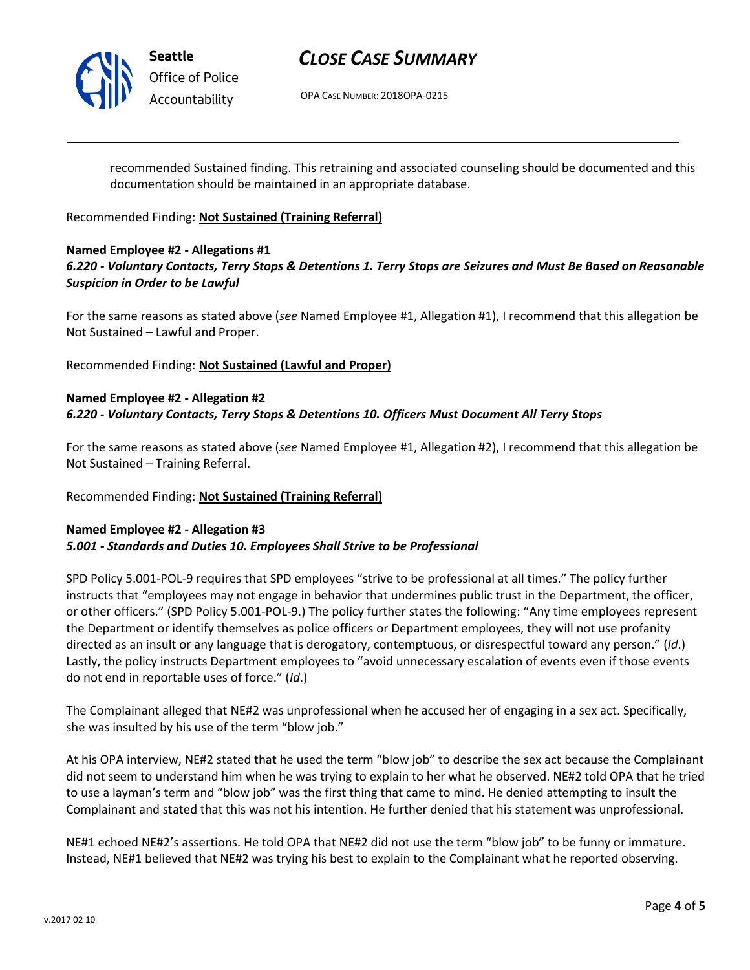

**Seattle** *Office of Police Accountability*

# *CLOSE CASE SUMMARY*

OPA CASE NUMBER: 2018OPA-0215

recommended Sustained finding. This retraining and associated counseling should be documented and this documentation should be maintained in an appropriate database.

Recommended Finding: **Not Sustained (Training Referral)**

# **Named Employee #2 - Allegations #1**

# *6.220 - Voluntary Contacts, Terry Stops & Detentions 1. Terry Stops are Seizures and Must Be Based on Reasonable Suspicion in Order to be Lawful*

For the same reasons as stated above (*see* Named Employee #1, Allegation #1), I recommend that this allegation be Not Sustained – Lawful and Proper.

Recommended Finding: **Not Sustained (Lawful and Proper)**

### **Named Employee #2 - Allegation #2** *6.220 - Voluntary Contacts, Terry Stops & Detentions 10. Officers Must Document All Terry Stops*

For the same reasons as stated above (*see* Named Employee #1, Allegation #2), I recommend that this allegation be Not Sustained – Training Referral.

### Recommended Finding: **Not Sustained (Training Referral)**

### **Named Employee #2 - Allegation #3** *5.001 - Standards and Duties 10. Employees Shall Strive to be Professional*

SPD Policy 5.001-POL-9 requires that SPD employees "strive to be professional at all times." The policy further instructs that "employees may not engage in behavior that undermines public trust in the Department, the officer, or other officers." (SPD Policy 5.001-POL-9.) The policy further states the following: "Any time employees represent the Department or identify themselves as police officers or Department employees, they will not use profanity directed as an insult or any language that is derogatory, contemptuous, or disrespectful toward any person." (*Id*.) Lastly, the policy instructs Department employees to "avoid unnecessary escalation of events even if those events do not end in reportable uses of force." (*Id*.)

The Complainant alleged that NE#2 was unprofessional when he accused her of engaging in a sex act. Specifically, she was insulted by his use of the term "blow job."

At his OPA interview, NE#2 stated that he used the term "blow job" to describe the sex act because the Complainant did not seem to understand him when he was trying to explain to her what he observed. NE#2 told OPA that he tried to use a layman's term and "blow job" was the first thing that came to mind. He denied attempting to insult the Complainant and stated that this was not his intention. He further denied that his statement was unprofessional.

NE#1 echoed NE#2's assertions. He told OPA that NE#2 did not use the term "blow job" to be funny or immature. Instead, NE#1 believed that NE#2 was trying his best to explain to the Complainant what he reported observing.